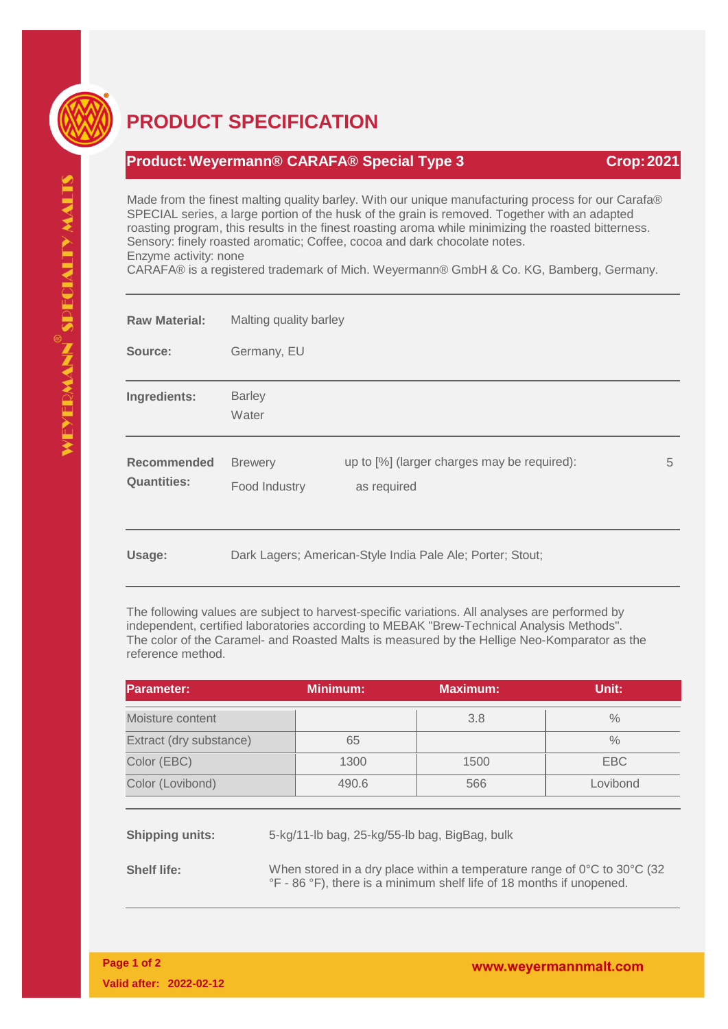

## **PRODUCT SPECIFICATION**

## **Product:Weyermann® CARAFA® Special Type 3 Crop:2021**

Made from the finest malting quality barley. With our unique manufacturing process for our Carafa® SPECIAL series, a large portion of the husk of the grain is removed. Together with an adapted roasting program, this results in the finest roasting aroma while minimizing the roasted bitterness. Sensory: finely roasted aromatic; Coffee, cocoa and dark chocolate notes. Enzyme activity: none

CARAFA® is a registered trademark of Mich. Weyermann® GmbH & Co. KG, Bamberg, Germany.

| <b>Raw Material:</b>              | Malting quality barley                                     |                                                            |   |  |
|-----------------------------------|------------------------------------------------------------|------------------------------------------------------------|---|--|
| Source:                           | Germany, EU                                                |                                                            |   |  |
| Ingredients:                      | <b>Barley</b><br>Water                                     |                                                            |   |  |
| Recommended<br><b>Quantities:</b> | <b>Brewery</b><br>Food Industry                            | up to [%] (larger charges may be required):<br>as required | 5 |  |
| Usage:                            | Dark Lagers; American-Style India Pale Ale; Porter; Stout; |                                                            |   |  |

The following values are subject to harvest-specific variations. All analyses are performed by independent, certified laboratories according to MEBAK "Brew-Technical Analysis Methods". The color of the Caramel- and Roasted Malts is measured by the Hellige Neo-Komparator as the reference method.

| <b>IParameter:</b>      | <b>Minimum:</b> | <b>Maximum:</b> | Unit:         |
|-------------------------|-----------------|-----------------|---------------|
| Moisture content        |                 | 3.8             | $\%$          |
| Extract (dry substance) | 65              |                 | $\frac{0}{0}$ |
| Color (EBC)             | 1300            | 1500            | EBC           |
| Color (Lovibond)        | 490.6           | 566             | Lovibond      |

**Shipping units:** 5-kg/11-lb bag, 25-kg/55-lb bag, BigBag, bulk

**Shelf life:** When stored in a dry place within a temperature range of 0°C to 30°C (32) °F - 86 °F), there is a minimum shelf life of 18 months if unopened.